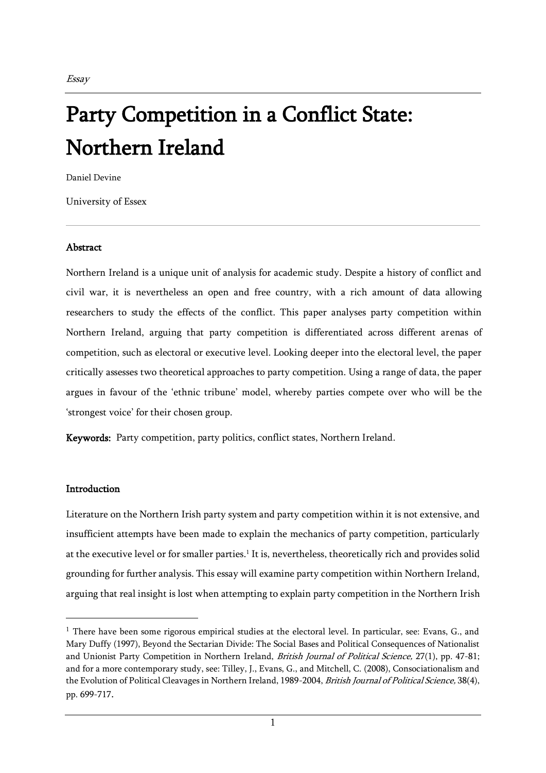# Party Competition in a Conflict State: Northern Ireland

Daniel Devine

University of Essex

#### **Abstract**

Northern Ireland is a unique unit of analysis for academic study. Despite a history of conflict and civil war, it is nevertheless an open and free country, with a rich amount of data allowing researchers to study the effects of the conflict. This paper analyses party competition within Northern Ireland, arguing that party competition is differentiated across different arenas of competition, such as electoral or executive level. Looking deeper into the electoral level, the paper critically assesses two theoretical approaches to party competition. Using a range of data, the paper argues in favour of the 'ethnic tribune' model, whereby parties compete over who will be the 'strongest voice' for their chosen group.

Keywords: Party competition, party politics, conflict states, Northern Ireland.

#### **Introduction**

Literature on the Northern Irish party system and party competition within it is not extensive, and insufficient attempts have been made to explain the mechanics of party competition, particularly at the executive level or for smaller parties.<sup>1</sup> It is, nevertheless, theoretically rich and provides solid grounding for further analysis. This essay will examine party competition within Northern Ireland, arguing that real insight is lost when attempting to explain party competition in the Northern Irish

 $1$  There have been some rigorous empirical studies at the electoral level. In particular, see: Evans, G., and Mary Duffy (1997), Beyond the Sectarian Divide: The Social Bases and Political Consequences of Nationalist and Unionist Party Competition in Northern Ireland, *British Journal of Political Science*, 27(1), pp. 47-81; and for a more contemporary study, see: Tilley, J., Evans, G., and Mitchell, C. (2008), Consociationalism and the Evolution of Political Cleavages in Northern Ireland, 1989-2004, *British Journal of Political Science*, 38(4), pp. 699-717.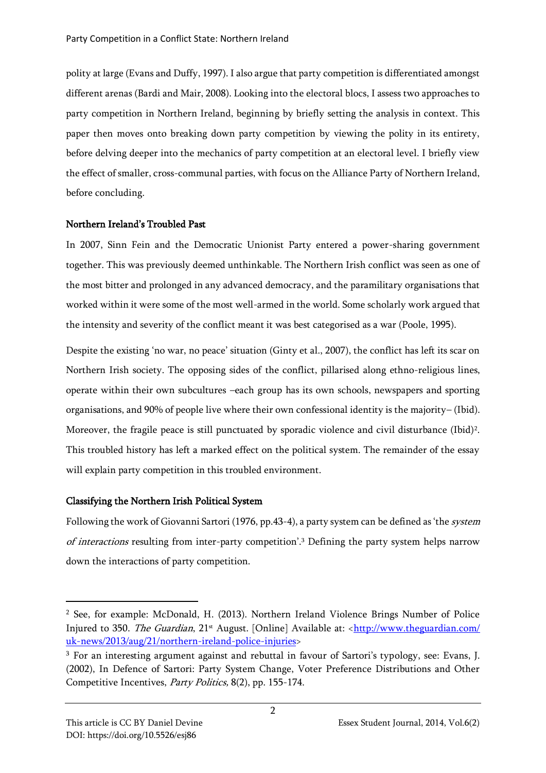polity at large (Evans and Duffy, 1997). I also argue that party competition is differentiated amongst different arenas (Bardi and Mair, 2008). Looking into the electoral blocs, I assess two approaches to party competition in Northern Ireland, beginning by briefly setting the analysis in context. This paper then moves onto breaking down party competition by viewing the polity in its entirety, before delving deeper into the mechanics of party competition at an electoral level. I briefly view the effect of smaller, cross-communal parties, with focus on the Alliance Party of Northern Ireland, before concluding.

## Northern Ireland's Troubled Past

In 2007, Sinn Fein and the Democratic Unionist Party entered a power-sharing government together. This was previously deemed unthinkable. The Northern Irish conflict was seen as one of the most bitter and prolonged in any advanced democracy, and the paramilitary organisations that worked within it were some of the most well-armed in the world. Some scholarly work argued that the intensity and severity of the conflict meant it was best categorised as a war (Poole, 1995).

Despite the existing 'no war, no peace' situation (Ginty et al., 2007), the conflict has left its scar on Northern Irish society. The opposing sides of the conflict, pillarised along ethno-religious lines, operate within their own subcultures –each group has its own schools, newspapers and sporting organisations, and 90% of people live where their own confessional identity is the majority– (Ibid). Moreover, the fragile peace is still punctuated by sporadic violence and civil disturbance (Ibid)<sup>2</sup>. This troubled history has left a marked effect on the political system. The remainder of the essay will explain party competition in this troubled environment.

# Classifying the Northern Irish Political System

Following the work of Giovanni Sartori (1976, pp.43-4), a party system can be defined as 'the system of interactions resulting from inter-party competition'.<sup>3</sup> Defining the party system helps narrow down the interactions of party competition.

<sup>2</sup> See, for example: McDonald, H. (2013). Northern Ireland Violence Brings Number of Police Injured to 350. The Guardian, 21<sup>st</sup> August. [Online] Available at: <http://www.theguardian.com/ [uk-news/2013/aug/21/northern-ireland-police-injuries>](http://www.theguardian.com/%20uk-news/2013/aug/21/northern-ireland-police-injuries)

<sup>3</sup> For an interesting argument against and rebuttal in favour of Sartori's typology, see: Evans, J. (2002), In Defence of Sartori: Party System Change, Voter Preference Distributions and Other Competitive Incentives, Party Politics, 8(2), pp. 155-174.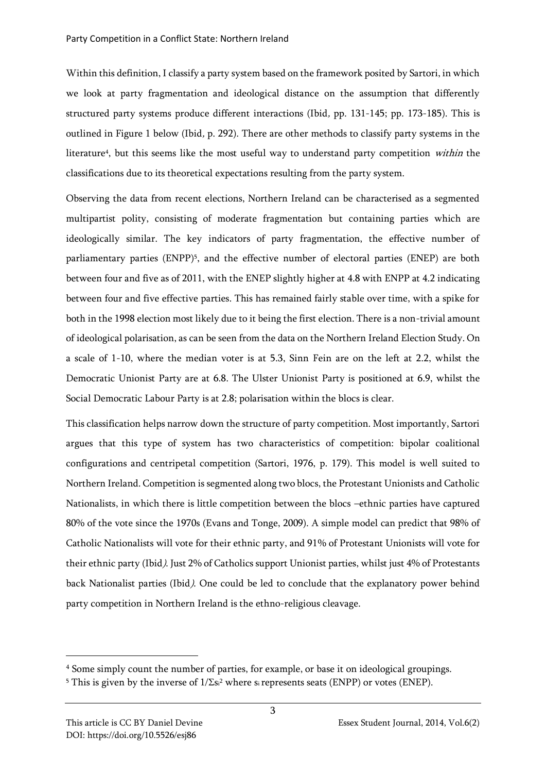Within this definition, I classify a party system based on the framework posited by Sartori, in which we look at party fragmentation and ideological distance on the assumption that differently structured party systems produce different interactions (Ibid, pp. 131-145; pp. 173-185). This is outlined in Figure 1 below (Ibid, p. 292). There are other methods to classify party systems in the literature<sup>4</sup>, but this seems like the most useful way to understand party competition *within* the classifications due to its theoretical expectations resulting from the party system.

Observing the data from recent elections, Northern Ireland can be characterised as a segmented multipartist polity, consisting of moderate fragmentation but containing parties which are ideologically similar. The key indicators of party fragmentation, the effective number of parliamentary parties (ENPP)<sup>5</sup>, and the effective number of electoral parties (ENEP) are both between four and five as of 2011, with the ENEP slightly higher at 4.8 with ENPP at 4.2 indicating between four and five effective parties. This has remained fairly stable over time, with a spike for both in the 1998 election most likely due to it being the first election. There is a non-trivial amount of ideological polarisation, as can be seen from the data on the Northern Ireland Election Study. On a scale of 1-10, where the median voter is at 5.3, Sinn Fein are on the left at 2.2, whilst the Democratic Unionist Party are at 6.8. The Ulster Unionist Party is positioned at 6.9, whilst the Social Democratic Labour Party is at 2.8; polarisation within the blocs is clear.

This classification helps narrow down the structure of party competition. Most importantly, Sartori argues that this type of system has two characteristics of competition: bipolar coalitional configurations and centripetal competition (Sartori, 1976, p. 179). This model is well suited to Northern Ireland. Competition is segmented along two blocs, the Protestant Unionists and Catholic Nationalists, in which there is little competition between the blocs –ethnic parties have captured 80% of the vote since the 1970s (Evans and Tonge, 2009). A simple model can predict that 98% of Catholic Nationalists will vote for their ethnic party, and 91% of Protestant Unionists will vote for their ethnic party (Ibid). Just 2% of Catholics support Unionist parties, whilst just 4% of Protestants back Nationalist parties (Ibid). One could be led to conclude that the explanatory power behind party competition in Northern Ireland is the ethno-religious cleavage.

<sup>4</sup> Some simply count the number of parties, for example, or base it on ideological groupings.

<sup>&</sup>lt;sup>5</sup> This is given by the inverse of  $1/\Sigma s^2$  where si represents seats (ENPP) or votes (ENEP).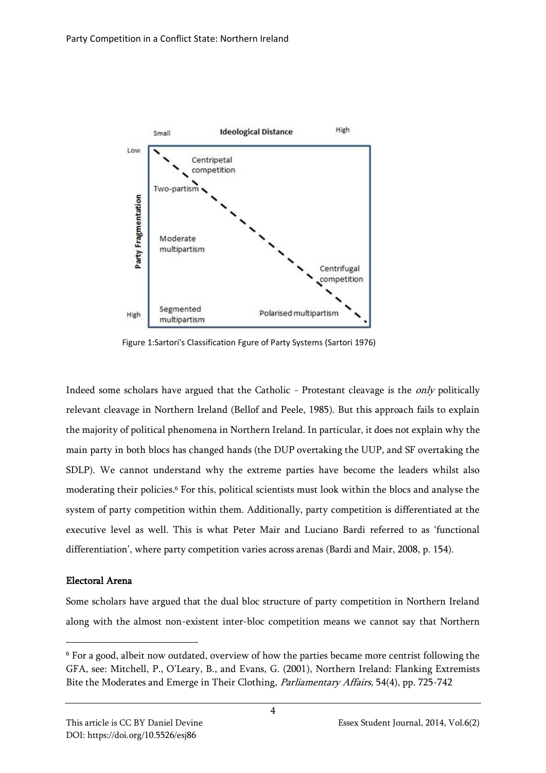

Figure 1:Sartori's Classification Fgure of Party Systems (Sartori 1976)

Indeed some scholars have argued that the Catholic - Protestant cleavage is the only politically relevant cleavage in Northern Ireland (Bellof and Peele, 1985). But this approach fails to explain the majority of political phenomena in Northern Ireland. In particular, it does not explain why the main party in both blocs has changed hands (the DUP overtaking the UUP, and SF overtaking the SDLP). We cannot understand why the extreme parties have become the leaders whilst also moderating their policies.<sup>6</sup> For this, political scientists must look within the blocs and analyse the system of party competition within them. Additionally, party competition is differentiated at the executive level as well. This is what Peter Mair and Luciano Bardi referred to as 'functional differentiation', where party competition varies across arenas (Bardi and Mair, 2008, p. 154).

## Electoral Arena

Some scholars have argued that the dual bloc structure of party competition in Northern Ireland along with the almost non-existent inter-bloc competition means we cannot say that Northern

<sup>6</sup> For a good, albeit now outdated, overview of how the parties became more centrist following the GFA, see: Mitchell, P., O'Leary, B., and Evans, G. (2001), Northern Ireland: Flanking Extremists Bite the Moderates and Emerge in Their Clothing, Parliamentary Affairs, 54(4), pp. 725-742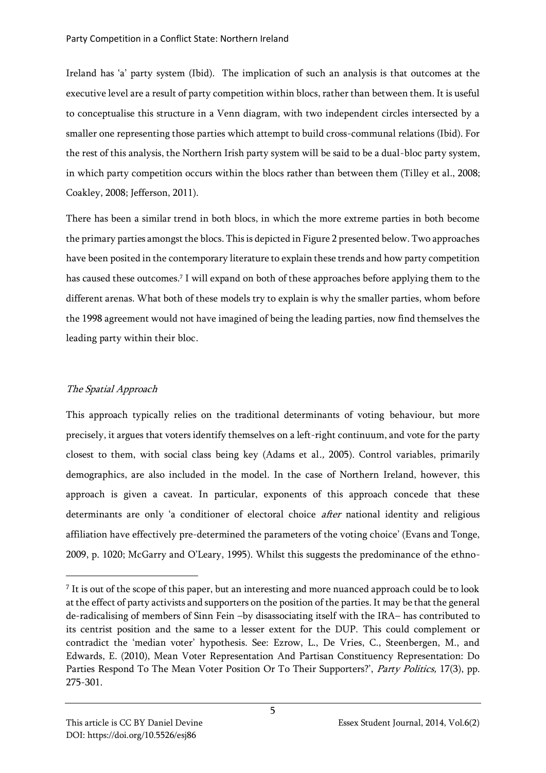Ireland has 'a' party system (Ibid). The implication of such an analysis is that outcomes at the executive level are a result of party competition within blocs, rather than between them. It is useful to conceptualise this structure in a Venn diagram, with two independent circles intersected by a smaller one representing those parties which attempt to build cross-communal relations (Ibid). For the rest of this analysis, the Northern Irish party system will be said to be a dual-bloc party system, in which party competition occurs within the blocs rather than between them (Tilley et al., 2008; Coakley, 2008; Jefferson, 2011).

There has been a similar trend in both blocs, in which the more extreme parties in both become the primary parties amongst the blocs. This is depicted in Figure 2 presented below. Two approaches have been posited in the contemporary literature to explain these trends and how party competition has caused these outcomes.<sup>7</sup> I will expand on both of these approaches before applying them to the different arenas. What both of these models try to explain is why the smaller parties, whom before the 1998 agreement would not have imagined of being the leading parties, now find themselves the leading party within their bloc.

# The Spatial Approach

This approach typically relies on the traditional determinants of voting behaviour, but more precisely, it argues that voters identify themselves on a left-right continuum, and vote for the party closest to them, with social class being key (Adams et al., 2005). Control variables, primarily demographics, are also included in the model. In the case of Northern Ireland, however, this approach is given a caveat. In particular, exponents of this approach concede that these determinants are only 'a conditioner of electoral choice *after* national identity and religious affiliation have effectively pre-determined the parameters of the voting choice' (Evans and Tonge, 2009, p. 1020; McGarry and O'Leary, 1995). Whilst this suggests the predominance of the ethno-

 $^7$  It is out of the scope of this paper, but an interesting and more nuanced approach could be to look at the effect of party activists and supporters on the position of the parties. It may be that the general de-radicalising of members of Sinn Fein –by disassociating itself with the IRA– has contributed to its centrist position and the same to a lesser extent for the DUP. This could complement or contradict the 'median voter' hypothesis. See: Ezrow, L., De Vries, C., Steenbergen, M., and Edwards, E. (2010), Mean Voter Representation And Partisan Constituency Representation: Do Parties Respond To The Mean Voter Position Or To Their Supporters?', *Party Politics*, 17(3), pp. 275-301.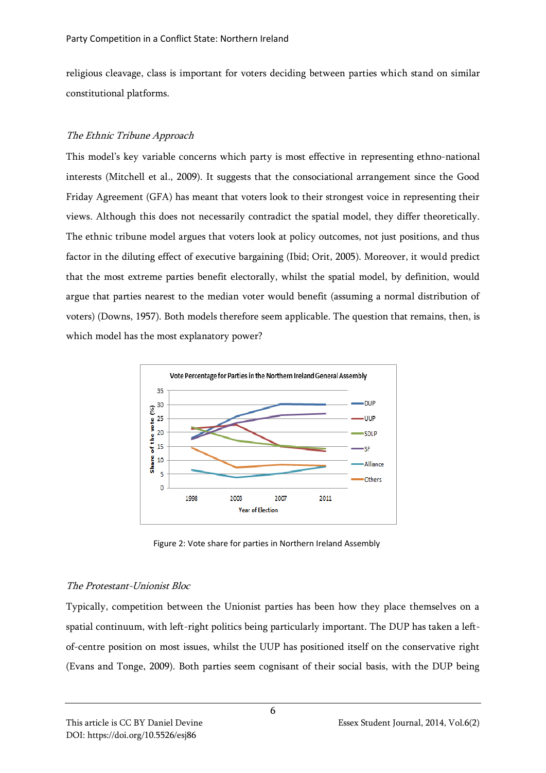religious cleavage, class is important for voters deciding between parties which stand on similar constitutional platforms.

## The Ethnic Tribune Approach

This model's key variable concerns which party is most effective in representing ethno-national interests (Mitchell et al., 2009). It suggests that the consociational arrangement since the Good Friday Agreement (GFA) has meant that voters look to their strongest voice in representing their views. Although this does not necessarily contradict the spatial model, they differ theoretically. The ethnic tribune model argues that voters look at policy outcomes, not just positions, and thus factor in the diluting effect of executive bargaining (Ibid; Orit, 2005). Moreover, it would predict that the most extreme parties benefit electorally, whilst the spatial model, by definition, would argue that parties nearest to the median voter would benefit (assuming a normal distribution of voters) (Downs, 1957). Both models therefore seem applicable. The question that remains, then, is which model has the most explanatory power?



Figure 2: Vote share for parties in Northern Ireland Assembly

## The Protestant-Unionist Bloc

Typically, competition between the Unionist parties has been how they place themselves on a spatial continuum, with left-right politics being particularly important. The DUP has taken a leftof-centre position on most issues, whilst the UUP has positioned itself on the conservative right (Evans and Tonge, 2009). Both parties seem cognisant of their social basis, with the DUP being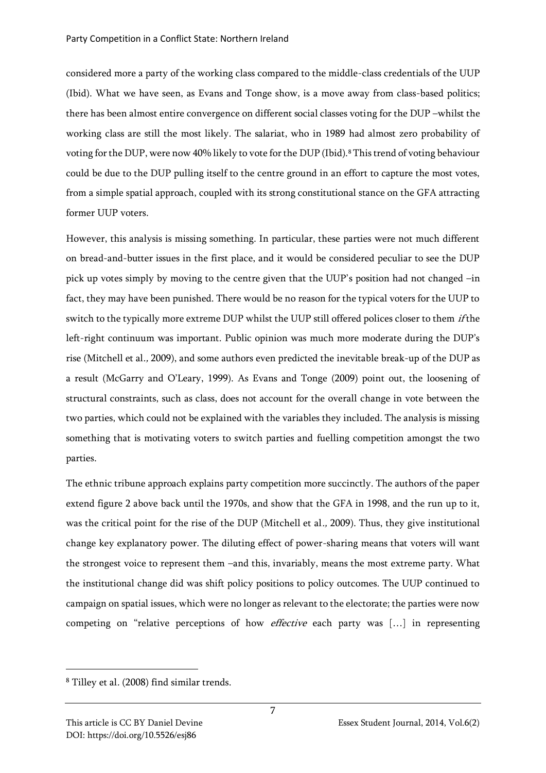considered more a party of the working class compared to the middle-class credentials of the UUP (Ibid). What we have seen, as Evans and Tonge show, is a move away from class-based politics; there has been almost entire convergence on different social classes voting for the DUP –whilst the working class are still the most likely. The salariat, who in 1989 had almost zero probability of voting for the DUP, were now 40% likely to vote for the DUP (Ibid).<sup>8</sup> This trend of voting behaviour could be due to the DUP pulling itself to the centre ground in an effort to capture the most votes, from a simple spatial approach, coupled with its strong constitutional stance on the GFA attracting former UUP voters.

However, this analysis is missing something. In particular, these parties were not much different on bread-and-butter issues in the first place, and it would be considered peculiar to see the DUP pick up votes simply by moving to the centre given that the UUP's position had not changed –in fact, they may have been punished. There would be no reason for the typical voters for the UUP to switch to the typically more extreme DUP whilst the UUP still offered polices closer to them *if* the left-right continuum was important. Public opinion was much more moderate during the DUP's rise (Mitchell et al., 2009), and some authors even predicted the inevitable break-up of the DUP as a result (McGarry and O'Leary, 1999). As Evans and Tonge (2009) point out, the loosening of structural constraints, such as class, does not account for the overall change in vote between the two parties, which could not be explained with the variables they included. The analysis is missing something that is motivating voters to switch parties and fuelling competition amongst the two parties.

The ethnic tribune approach explains party competition more succinctly. The authors of the paper extend figure 2 above back until the 1970s, and show that the GFA in 1998, and the run up to it, was the critical point for the rise of the DUP (Mitchell et al., 2009). Thus, they give institutional change key explanatory power. The diluting effect of power-sharing means that voters will want the strongest voice to represent them –and this, invariably, means the most extreme party. What the institutional change did was shift policy positions to policy outcomes. The UUP continued to campaign on spatial issues, which were no longer as relevant to the electorate; the parties were now competing on "relative perceptions of how effective each party was […] in representing

<sup>8</sup> Tilley et al. (2008) find similar trends.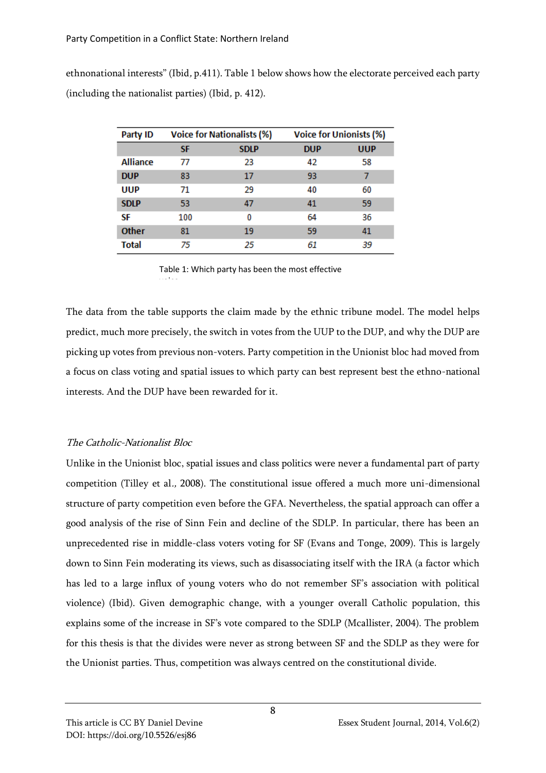ethnonational interests" (Ibid, p.411). Table 1 below shows how the electorate perceived each party (including the nationalist parties) (Ibid, p. 412).

| Party ID        | <b>Voice for Nationalists (%)</b> |             | <b>Voice for Unionists (%)</b> |            |
|-----------------|-----------------------------------|-------------|--------------------------------|------------|
|                 | <b>SF</b>                         | <b>SDLP</b> | <b>DUP</b>                     | <b>UUP</b> |
| <b>Alliance</b> | 77                                | 23          | 42                             | 58         |
| <b>DUP</b>      | 83                                | 17          | 93                             | 7          |
| <b>UUP</b>      | 71                                | 29          | 40                             | 60         |
| <b>SDLP</b>     | 53                                | 47          | 41                             | 59         |
| SF              | 100                               | 0           | 64                             | 36         |
| <b>Other</b>    | 81                                | 19          | 59                             | 41         |
| <b>Total</b>    | 75                                | 25          | 61                             | 39         |

Table 1: Which party has been the most effective  $\mathcal{L}_{\mathcal{A}}$ 

The data from the table supports the claim made by the ethnic tribune model. The model helps predict, much more precisely, the switch in votes from the UUP to the DUP, and why the DUP are picking up votes from previous non-voters. Party competition in the Unionist bloc had moved from a focus on class voting and spatial issues to which party can best represent best the ethno-national interests. And the DUP have been rewarded for it.

# The Catholic-Nationalist Bloc

Unlike in the Unionist bloc, spatial issues and class politics were never a fundamental part of party competition (Tilley et al., 2008). The constitutional issue offered a much more uni-dimensional structure of party competition even before the GFA. Nevertheless, the spatial approach can offer a good analysis of the rise of Sinn Fein and decline of the SDLP. In particular, there has been an unprecedented rise in middle-class voters voting for SF (Evans and Tonge, 2009). This is largely down to Sinn Fein moderating its views, such as disassociating itself with the IRA (a factor which has led to a large influx of young voters who do not remember SF's association with political violence) (Ibid). Given demographic change, with a younger overall Catholic population, this explains some of the increase in SF's vote compared to the SDLP (Mcallister, 2004). The problem for this thesis is that the divides were never as strong between SF and the SDLP as they were for the Unionist parties. Thus, competition was always centred on the constitutional divide.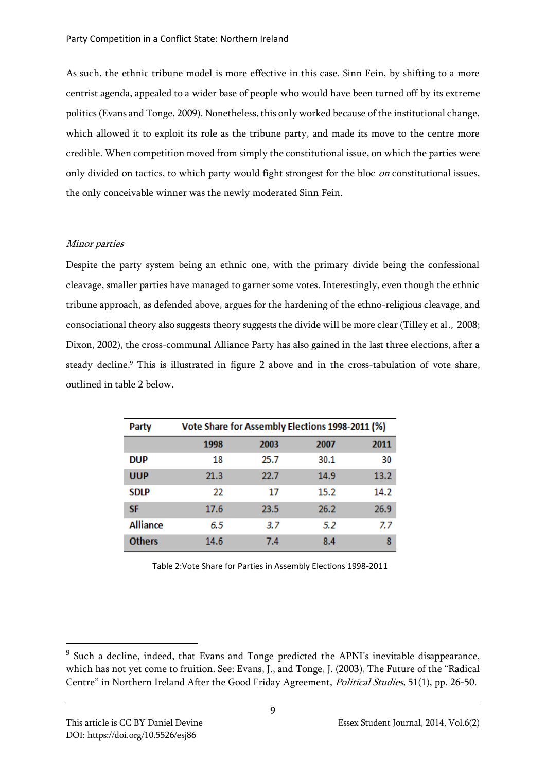As such, the ethnic tribune model is more effective in this case. Sinn Fein, by shifting to a more centrist agenda, appealed to a wider base of people who would have been turned off by its extreme politics (Evans and Tonge, 2009). Nonetheless, this only worked because of the institutional change, which allowed it to exploit its role as the tribune party, and made its move to the centre more credible. When competition moved from simply the constitutional issue, on which the parties were only divided on tactics, to which party would fight strongest for the bloc *on* constitutional issues, the only conceivable winner was the newly moderated Sinn Fein.

## Minor parties

Despite the party system being an ethnic one, with the primary divide being the confessional cleavage, smaller parties have managed to garner some votes. Interestingly, even though the ethnic tribune approach, as defended above, argues for the hardening of the ethno-religious cleavage, and consociational theory also suggests theory suggests the divide will be more clear (Tilley et al., 2008; Dixon, 2002), the cross-communal Alliance Party has also gained in the last three elections, after a steady decline.<sup>9</sup> This is illustrated in figure 2 above and in the cross-tabulation of vote share, outlined in table 2 below.

| Party           | Vote Share for Assembly Elections 1998-2011 (%) |      |      |      |  |  |
|-----------------|-------------------------------------------------|------|------|------|--|--|
|                 | 1998                                            | 2003 | 2007 | 2011 |  |  |
| <b>DUP</b>      | 18                                              | 25.7 | 30.1 | 30   |  |  |
| <b>UUP</b>      | 21.3                                            | 22.7 | 14.9 | 13.2 |  |  |
| <b>SDLP</b>     | 22                                              | 17   | 15.2 | 14.2 |  |  |
| SF              | 17.6                                            | 23.5 | 26.2 | 26.9 |  |  |
| <b>Alliance</b> | 6.5                                             | 3.7  | 5.2  | 7.7  |  |  |
| <b>Others</b>   | 14.6                                            | 7.4  | 8.4  | 8    |  |  |

Table 2:Vote Share for Parties in Assembly Elections 1998-2011

<sup>&</sup>lt;sup>9</sup> Such a decline, indeed, that Evans and Tonge predicted the APNI's inevitable disappearance, which has not yet come to fruition. See: Evans, J., and Tonge, J. (2003), The Future of the "Radical Centre" in Northern Ireland After the Good Friday Agreement, Political Studies, 51(1), pp. 26-50.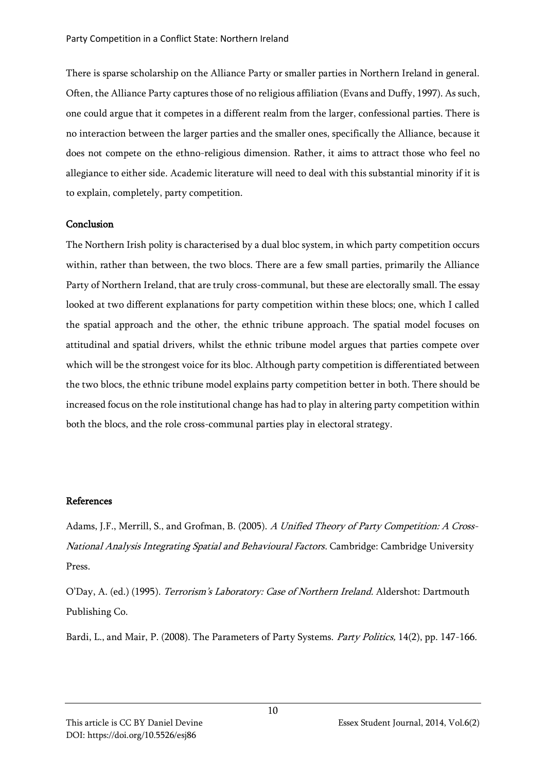There is sparse scholarship on the Alliance Party or smaller parties in Northern Ireland in general. Often, the Alliance Party captures those of no religious affiliation (Evans and Duffy, 1997). As such, one could argue that it competes in a different realm from the larger, confessional parties. There is no interaction between the larger parties and the smaller ones, specifically the Alliance, because it does not compete on the ethno-religious dimension. Rather, it aims to attract those who feel no allegiance to either side. Academic literature will need to deal with this substantial minority if it is to explain, completely, party competition.

#### Conclusion

The Northern Irish polity is characterised by a dual bloc system, in which party competition occurs within, rather than between, the two blocs. There are a few small parties, primarily the Alliance Party of Northern Ireland, that are truly cross-communal, but these are electorally small. The essay looked at two different explanations for party competition within these blocs; one, which I called the spatial approach and the other, the ethnic tribune approach. The spatial model focuses on attitudinal and spatial drivers, whilst the ethnic tribune model argues that parties compete over which will be the strongest voice for its bloc. Although party competition is differentiated between the two blocs, the ethnic tribune model explains party competition better in both. There should be increased focus on the role institutional change has had to play in altering party competition within both the blocs, and the role cross-communal parties play in electoral strategy.

#### References

Adams, J.F., Merrill, S., and Grofman, B. (2005). A Unified Theory of Party Competition: A Cross-National Analysis Integrating Spatial and Behavioural Factors. Cambridge: Cambridge University Press.

O'Day, A. (ed.) (1995). Terrorism's Laboratory: Case of Northern Ireland. Aldershot: Dartmouth Publishing Co.

Bardi, L., and Mair, P. (2008). The Parameters of Party Systems. Party Politics, 14(2), pp. 147-166.

This article is CC BY Daniel Devine **Essex Student Journal, 2014, Vol.6(2)** Essex Student Journal, 2014, Vol.6(2) DOI: https://doi.org/10.5526/esj86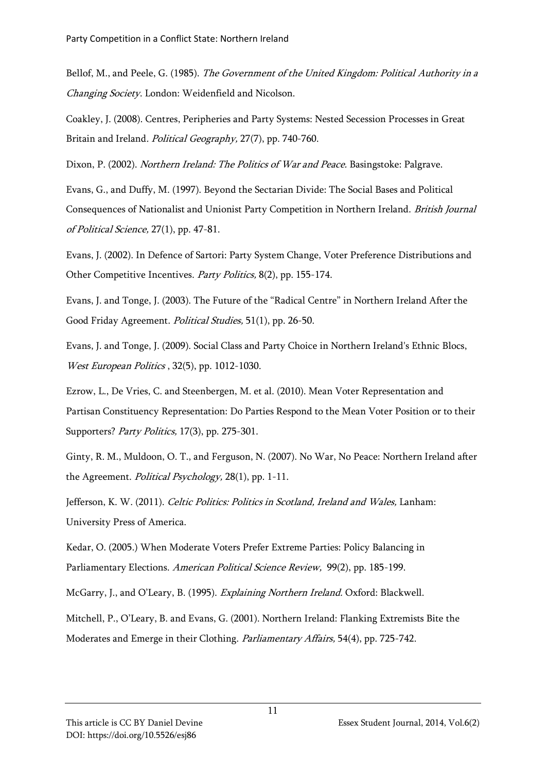Bellof, M., and Peele, G. (1985). The Government of the United Kingdom: Political Authority in a Changing Society. London: Weidenfield and Nicolson.

Coakley, J. (2008). Centres, Peripheries and Party Systems: Nested Secession Processes in Great Britain and Ireland. Political Geography, 27(7), pp. 740-760.

Dixon, P. (2002). Northern Ireland: The Politics of War and Peace. Basingstoke: Palgrave.

Evans, G., and Duffy, M. (1997). Beyond the Sectarian Divide: The Social Bases and Political Consequences of Nationalist and Unionist Party Competition in Northern Ireland. British Journal of Political Science, 27(1), pp. 47-81.

Evans, J. (2002). In Defence of Sartori: Party System Change, Voter Preference Distributions and Other Competitive Incentives. Party Politics, 8(2), pp. 155-174.

Evans, J. and Tonge, J. (2003). The Future of the "Radical Centre" in Northern Ireland After the Good Friday Agreement. Political Studies, 51(1), pp. 26-50.

Evans, J. and Tonge, J. (2009). Social Class and Party Choice in Northern Ireland's Ethnic Blocs, West European Politics , 32(5), pp. 1012-1030.

Ezrow, L., De Vries, C. and Steenbergen, M. et al. (2010). Mean Voter Representation and Partisan Constituency Representation: Do Parties Respond to the Mean Voter Position or to their Supporters? Party Politics, 17(3), pp. 275-301.

Ginty, R. M., Muldoon, O. T., and Ferguson, N. (2007). No War, No Peace: Northern Ireland after the Agreement. *Political Psychology*, 28(1), pp. 1-11.

Jefferson, K. W. (2011). Celtic Politics: Politics in Scotland, Ireland and Wales, Lanham: University Press of America.

Kedar, O. (2005.) When Moderate Voters Prefer Extreme Parties: Policy Balancing in Parliamentary Elections. American Political Science Review, 99(2), pp. 185-199.

McGarry, J., and O'Leary, B. (1995). Explaining Northern Ireland. Oxford: Blackwell.

Mitchell, P., O'Leary, B. and Evans, G. (2001). Northern Ireland: Flanking Extremists Bite the Moderates and Emerge in their Clothing. Parliamentary Affairs, 54(4), pp. 725-742.